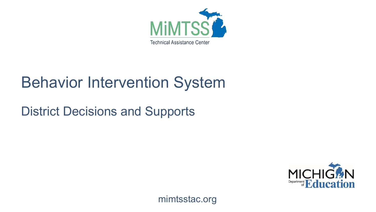

## Behavior Intervention System

#### District Decisions and Supports



mimtsstac.org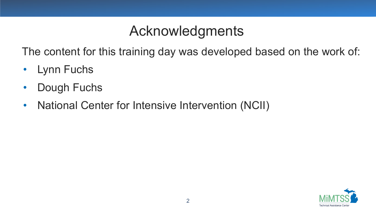#### Acknowledgments

The content for this training day was developed based on the work of:

- Lynn Fuchs
- Dough Fuchs
- National Center for Intensive Intervention (NCII)

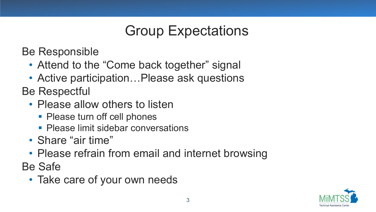## Group Expectations

Be Responsible

- Attend to the "Come back together" signal
- Active participation... Please ask questions

Be Respectful

- Please allow others to listen
	- Please turn off cell phones
	- **Please limit sidebar conversations**
- Share "air time"
- Please refrain from email and internet browsing

Be Safe

• Take care of your own needs

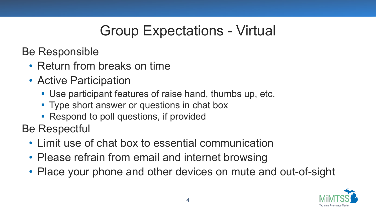## Group Expectations - Virtual

Be Responsible

- Return from breaks on time
- Active Participation
	- Use participant features of raise hand, thumbs up, etc.
	- **Type short answer or questions in chat box**
	- Respond to poll questions, if provided

Be Respectful

- Limit use of chat box to essential communication
- Please refrain from email and internet browsing
- Place your phone and other devices on mute and out-of-sight

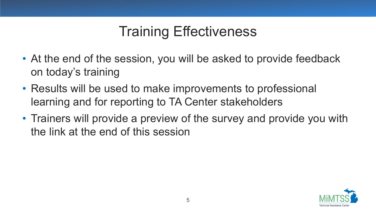## Training Effectiveness

- At the end of the session, you will be asked to provide feedback on today's training
- Results will be used to make improvements to professional learning and for reporting to TA Center stakeholders
- Trainers will provide a preview of the survey and provide you with the link at the end of this session

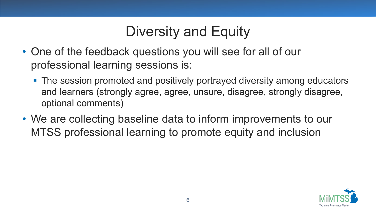## Diversity and Equity

- One of the feedback questions you will see for all of our professional learning sessions is:
	- The session promoted and positively portrayed diversity among educators and learners (strongly agree, agree, unsure, disagree, strongly disagree, optional comments)
- We are collecting baseline data to inform improvements to our MTSS professional learning to promote equity and inclusion

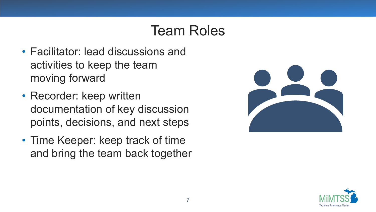#### Team Roles

- Facilitator: lead discussions and activities to keep the team moving forward
- Recorder: keep written documentation of key discussion points, decisions, and next steps
- Time Keeper: keep track of time and bring the team back together



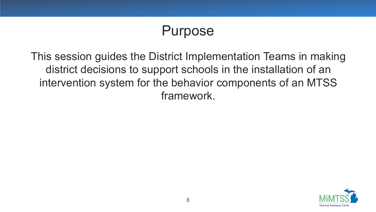#### Purpose

This session guides the District Implementation Teams in making district decisions to support schools in the installation of an intervention system for the behavior components of an MTSS framework.

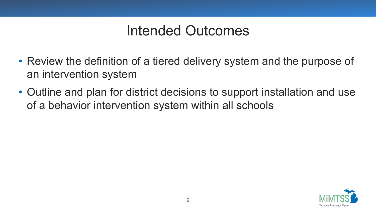#### Intended Outcomes

- Review the definition of a tiered delivery system and the purpose of an intervention system
- Outline and plan for district decisions to support installation and use of a behavior intervention system within all schools

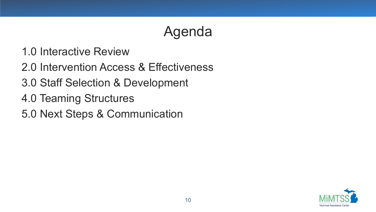## Agenda

- 1.0 Interactive Review
- 2.0 Intervention Access & Effectiveness
- 3.0 Staff Selection & Development
- 4.0 Teaming Structures
- 5.0 Next Steps & Communication

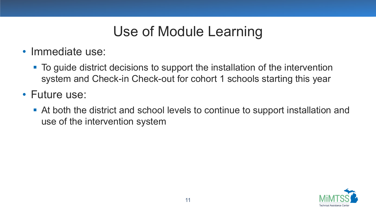## Use of Module Learning

- Immediate use:
	- To guide district decisions to support the installation of the intervention system and Check-in Check-out for cohort 1 schools starting this year
- Future use:
	- At both the district and school levels to continue to support installation and use of the intervention system

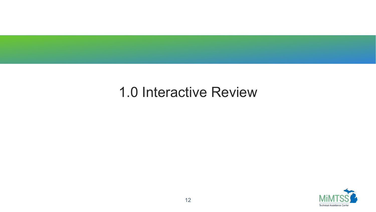#### 1.0 Interactive Review

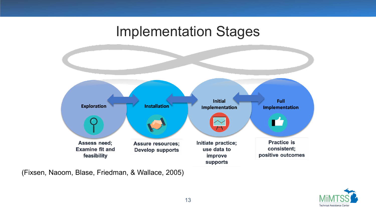#### Implementation Stages



(Fixsen, Naoom, Blase, Friedman, & Wallace, 2005)

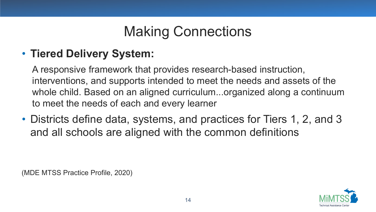## Making Connections

#### • **Tiered Delivery System:**

A responsive framework that provides research-based instruction, interventions, and supports intended to meet the needs and assets of the whole child. Based on an aligned curriculum...organized along a continuum to meet the needs of each and every learner

• Districts define data, systems, and practices for Tiers 1, 2, and 3 and all schools are aligned with the common definitions

(MDE MTSS Practice Profile, 2020)

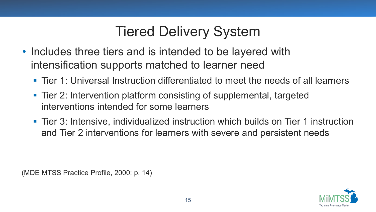## Tiered Delivery System

- Includes three tiers and is intended to be layered with intensification supports matched to learner need
	- Tier 1: Universal Instruction differentiated to meet the needs of all learners
	- Tier 2: Intervention platform consisting of supplemental, targeted interventions intended for some learners
	- Tier 3: Intensive, individualized instruction which builds on Tier 1 instruction and Tier 2 interventions for learners with severe and persistent needs

(MDE MTSS Practice Profile, 2000; p. 14)

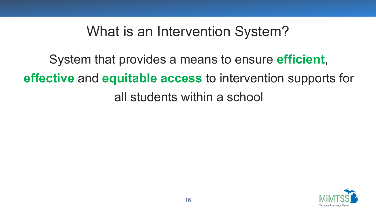#### What is an Intervention System?

System that provides a means to ensure **efficient**, **effective** and **equitable access** to intervention supports for all students within a school

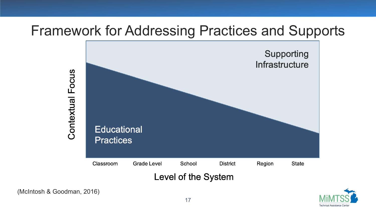#### Framework for Addressing Practices and Supports



(McIntosh & Goodman, 2016)

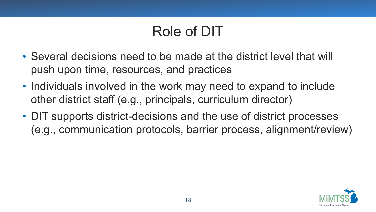## Role of DIT

- Several decisions need to be made at the district level that will push upon time, resources, and practices
- Individuals involved in the work may need to expand to include other district staff (e.g., principals, curriculum director)
- DIT supports district-decisions and the use of district processes (e.g., communication protocols, barrier process, alignment/review)

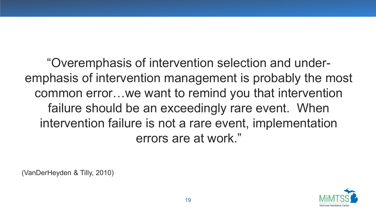"Overemphasis of intervention selection and underemphasis of intervention management is probably the most common error…we want to remind you that intervention failure should be an exceedingly rare event. When intervention failure is not a rare event, implementation errors are at work."

(VanDerHeyden & Tilly, 2010)

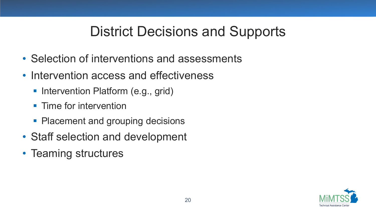## District Decisions and Supports

- Selection of interventions and assessments
- Intervention access and effectiveness
	- Intervention Platform (e.g., grid)
	- **Time for intervention**
	- Placement and grouping decisions
- Staff selection and development
- Teaming structures

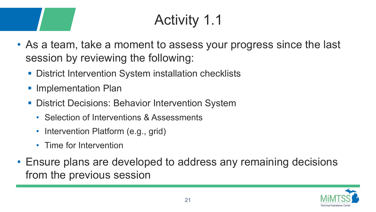# Activity 1.1

- As a team, take a moment to assess your progress since the last session by reviewing the following:
	- **District Intervention System installation checklists**
	- **Implementation Plan**
	- **District Decisions: Behavior Intervention System** 
		- Selection of Interventions & Assessments
		- Intervention Platform (e.g., grid)
		- Time for Intervention
- Ensure plans are developed to address any remaining decisions from the previous session

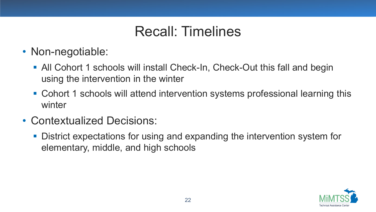## Recall: Timelines

- Non-negotiable:
	- All Cohort 1 schools will install Check-In, Check-Out this fall and begin using the intervention in the winter
	- Cohort 1 schools will attend intervention systems professional learning this winter
- Contextualized Decisions:
	- District expectations for using and expanding the intervention system for elementary, middle, and high schools

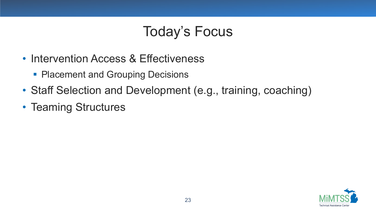## Today's Focus

- Intervention Access & Effectiveness
	- **Placement and Grouping Decisions**
- Staff Selection and Development (e.g., training, coaching)
- Teaming Structures

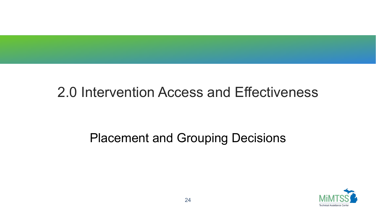#### 2.0 Intervention Access and Effectiveness

#### Placement and Grouping Decisions

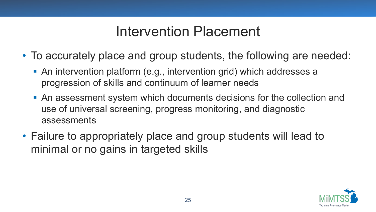#### Intervention Placement

- To accurately place and group students, the following are needed:
	- An intervention platform (e.g., intervention grid) which addresses a progression of skills and continuum of learner needs
	- An assessment system which documents decisions for the collection and use of universal screening, progress monitoring, and diagnostic assessments
- Failure to appropriately place and group students will lead to minimal or no gains in targeted skills

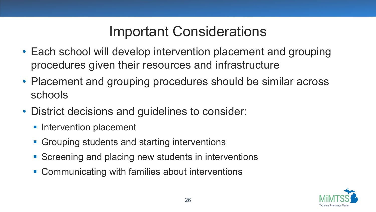## Important Considerations

- Each school will develop intervention placement and grouping procedures given their resources and infrastructure
- Placement and grouping procedures should be similar across schools
- District decisions and guidelines to consider:
	- **Intervention placement**
	- **Grouping students and starting interventions**
	- Screening and placing new students in interventions
	- Communicating with families about interventions

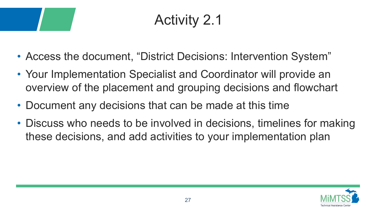## Activity 2.1

- Access the document, "District Decisions: Intervention System"
- Your Implementation Specialist and Coordinator will provide an overview of the placement and grouping decisions and flowchart
- Document any decisions that can be made at this time
- Discuss who needs to be involved in decisions, timelines for making these decisions, and add activities to your implementation plan

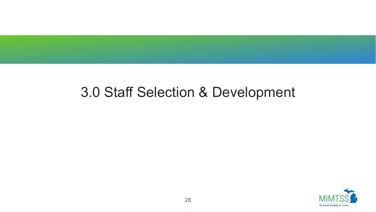#### 3.0 Staff Selection & Development

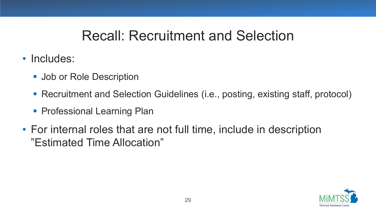#### Recall: Recruitment and Selection

- Includes:
	- **Job or Role Description**
	- Recruitment and Selection Guidelines (i.e., posting, existing staff, protocol)
	- **Professional Learning Plan**
- For internal roles that are not full time, include in description "Estimated Time Allocation"

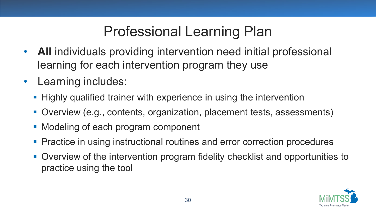## Professional Learning Plan

- **All** individuals providing intervention need initial professional learning for each intervention program they use
- Learning includes:
	- **Highly qualified trainer with experience in using the intervention**
	- Overview (e.g., contents, organization, placement tests, assessments)
	- **Modeling of each program component**
	- **Practice in using instructional routines and error correction procedures**
	- Overview of the intervention program fidelity checklist and opportunities to practice using the tool

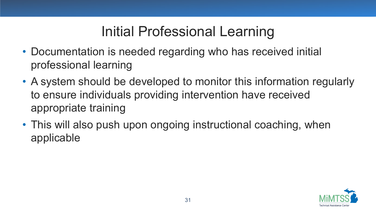## Initial Professional Learning

- Documentation is needed regarding who has received initial professional learning
- A system should be developed to monitor this information regularly to ensure individuals providing intervention have received appropriate training
- This will also push upon ongoing instructional coaching, when applicable

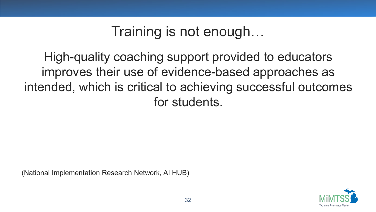## Training is not enough…

High-quality coaching support provided to educators improves their use of evidence-based approaches as intended, which is critical to achieving successful outcomes for students.

(National Implementation Research Network, AI HUB)

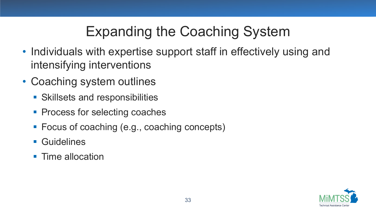## Expanding the Coaching System

- Individuals with expertise support staff in effectively using and intensifying interventions
- Coaching system outlines
	- **Skillsets and responsibilities**
	- Process for selecting coaches
	- Focus of coaching (e.g., coaching concepts)
	- Guidelines
	- **Time allocation**

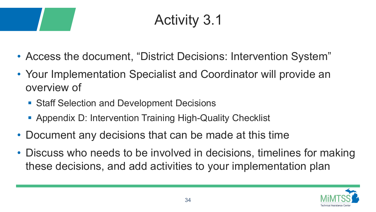## Activity 3.1

- Access the document, "District Decisions: Intervention System"
- Your Implementation Specialist and Coordinator will provide an overview of
	- Staff Selection and Development Decisions
	- Appendix D: Intervention Training High-Quality Checklist
- Document any decisions that can be made at this time
- Discuss who needs to be involved in decisions, timelines for making these decisions, and add activities to your implementation plan

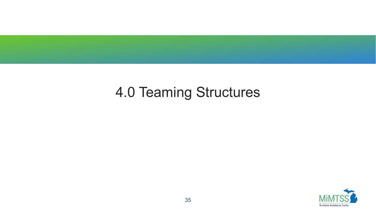## 4.0 Teaming Structures

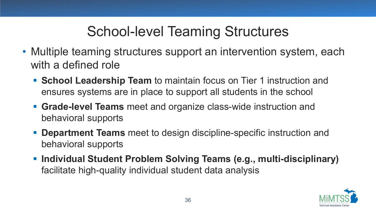## School-level Teaming Structures

- Multiple teaming structures support an intervention system, each with a defined role
	- **School Leadership Team** to maintain focus on Tier 1 instruction and ensures systems are in place to support all students in the school
	- **Grade-level Teams** meet and organize class-wide instruction and behavioral supports
	- **Department Teams** meet to design discipline-specific instruction and behavioral supports
	- **Individual Student Problem Solving Teams (e.g., multi-disciplinary)**  facilitate high-quality individual student data analysis

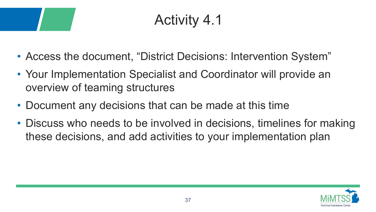## Activity 4.1

- Access the document, "District Decisions: Intervention System"
- Your Implementation Specialist and Coordinator will provide an overview of teaming structures
- Document any decisions that can be made at this time
- Discuss who needs to be involved in decisions, timelines for making these decisions, and add activities to your implementation plan

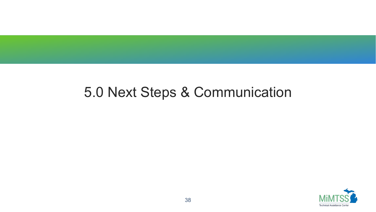#### 5.0 Next Steps & Communication

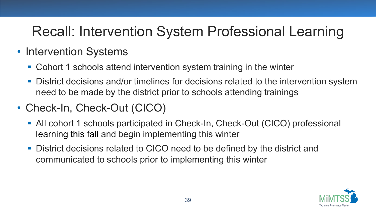## Recall: Intervention System Professional Learning

- Intervention Systems
	- Cohort 1 schools attend intervention system training in the winter
	- **District decisions and/or timelines for decisions related to the intervention system** need to be made by the district prior to schools attending trainings
- Check-In, Check-Out (CICO)
	- All cohort 1 schools participated in Check-In, Check-Out (CICO) professional learning this fall and begin implementing this winter
	- District decisions related to CICO need to be defined by the district and communicated to schools prior to implementing this winter

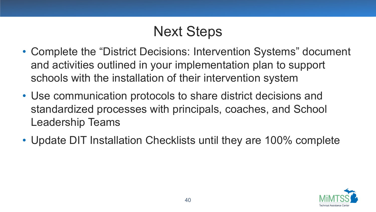## Next Steps

- Complete the "District Decisions: Intervention Systems" document and activities outlined in your implementation plan to support schools with the installation of their intervention system
- Use communication protocols to share district decisions and standardized processes with principals, coaches, and School Leadership Teams
- Update DIT Installation Checklists until they are 100% complete

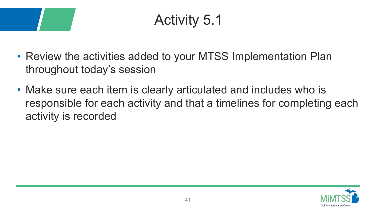## Activity 5.1

- Review the activities added to your MTSS Implementation Plan throughout today's session
- Make sure each item is clearly articulated and includes who is responsible for each activity and that a timelines for completing each activity is recorded